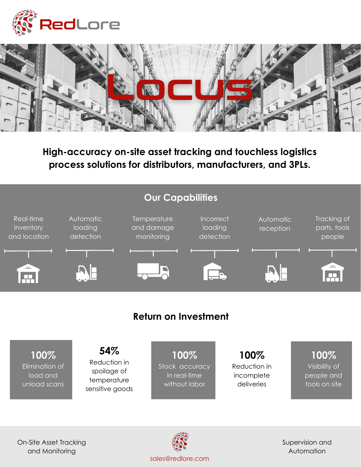



**High-accuracy on-site asset tracking and touchless logistics process solutions for distributors, manufacturers, and 3PLs.**





Supervision and Automation